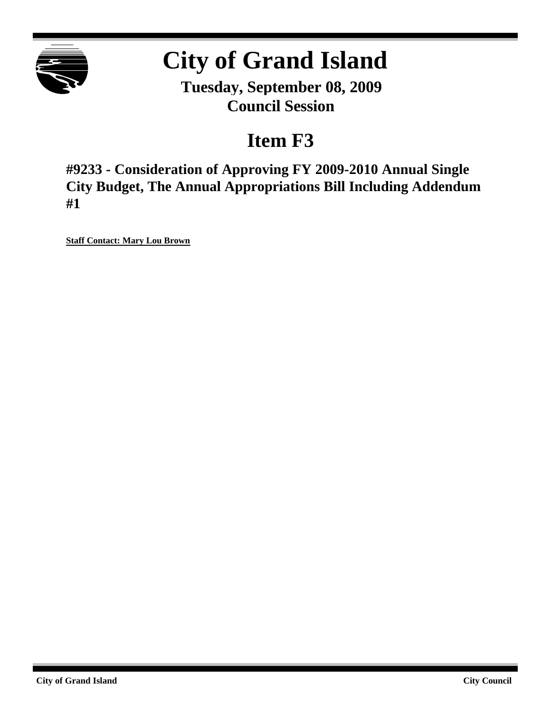

# **City of Grand Island**

**Tuesday, September 08, 2009 Council Session**

## **Item F3**

**#9233 - Consideration of Approving FY 2009-2010 Annual Single City Budget, The Annual Appropriations Bill Including Addendum #1**

**Staff Contact: Mary Lou Brown**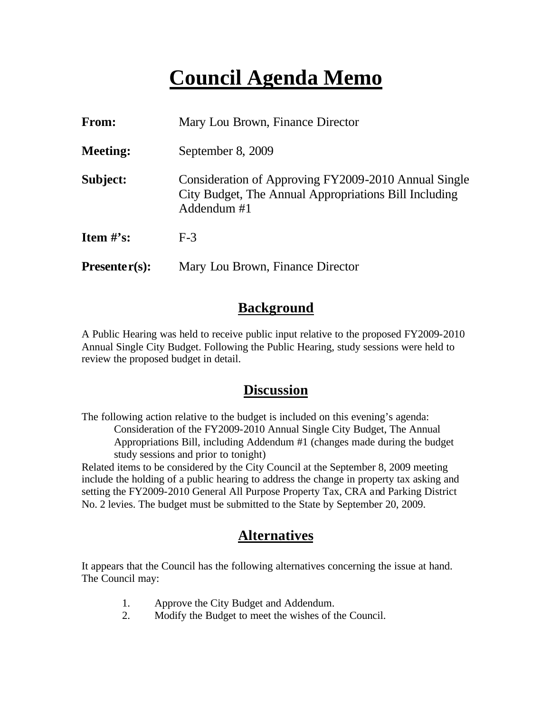## **Council Agenda Memo**

| From:                          | Mary Lou Brown, Finance Director                                                                                             |  |
|--------------------------------|------------------------------------------------------------------------------------------------------------------------------|--|
| <b>Meeting:</b>                | September 8, 2009                                                                                                            |  |
| Subject:                       | Consideration of Approving FY2009-2010 Annual Single<br>City Budget, The Annual Appropriations Bill Including<br>Addendum #1 |  |
| <b>Item <math>\#</math>'s:</b> | $F-3$                                                                                                                        |  |
| $Presenter(s):$                | Mary Lou Brown, Finance Director                                                                                             |  |

### **Background**

A Public Hearing was held to receive public input relative to the proposed FY2009-2010 Annual Single City Budget. Following the Public Hearing, study sessions were held to review the proposed budget in detail.

#### **Discussion**

The following action relative to the budget is included on this evening's agenda: Consideration of the FY2009-2010 Annual Single City Budget, The Annual Appropriations Bill, including Addendum #1 (changes made during the budget study sessions and prior to tonight)

Related items to be considered by the City Council at the September 8, 2009 meeting include the holding of a public hearing to address the change in property tax asking and setting the FY2009-2010 General All Purpose Property Tax, CRA and Parking District No. 2 levies. The budget must be submitted to the State by September 20, 2009.

### **Alternatives**

It appears that the Council has the following alternatives concerning the issue at hand. The Council may:

- 1. Approve the City Budget and Addendum.
- 2. Modify the Budget to meet the wishes of the Council.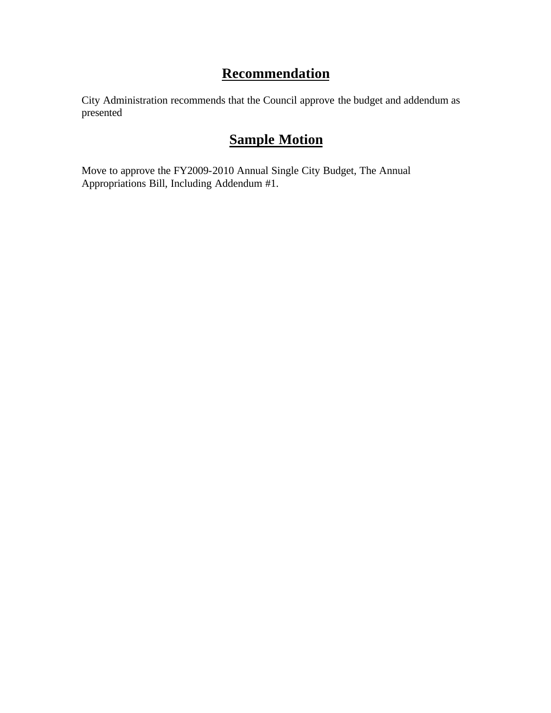### **Recommendation**

City Administration recommends that the Council approve the budget and addendum as presented

### **Sample Motion**

Move to approve the FY2009-2010 Annual Single City Budget, The Annual Appropriations Bill, Including Addendum #1.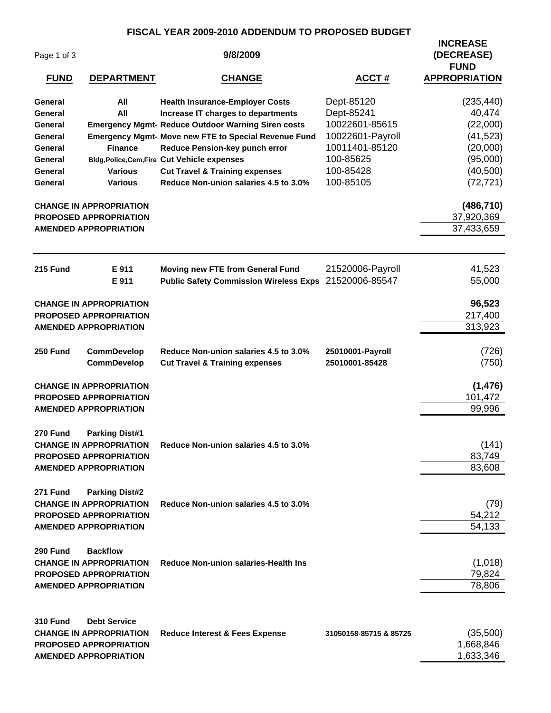#### **FISCAL YEAR 2009-2010 ADDENDUM TO PROPOSED BUDGET**

|                    |                                                                 | FISCAL TEAR 2009-20TU ADDENDUM TO FROFOSED BUDGET                                  |                        | <b>INCREASE</b>           |
|--------------------|-----------------------------------------------------------------|------------------------------------------------------------------------------------|------------------------|---------------------------|
| Page 1 of 3        |                                                                 | 9/8/2009                                                                           |                        | (DECREASE)<br><b>FUND</b> |
| <b>FUND</b>        | <b>DEPARTMENT</b>                                               | <b>CHANGE</b>                                                                      | <b>ACCT#</b>           | <b>APPROPRIATION</b>      |
| General            | All                                                             | <b>Health Insurance-Employer Costs</b>                                             | Dept-85120             | (235, 440)                |
| General            | All                                                             | Increase IT charges to departments                                                 | Dept-85241             | 40,474                    |
| General            |                                                                 | <b>Emergency Mgmt- Reduce Outdoor Warning Siren costs</b>                          | 10022601-85615         | (22,000)                  |
| General            |                                                                 | <b>Emergency Mgmt- Move new FTE to Special Revenue Fund</b>                        | 10022601-Payroll       | (41, 523)                 |
| General            | <b>Finance</b>                                                  | Reduce Pension-key punch error                                                     | 10011401-85120         | (20,000)                  |
| General            |                                                                 | <b>Bldg, Police, Cem, Fire Cut Vehicle expenses</b>                                | 100-85625              | (95,000)                  |
| General<br>General | <b>Various</b><br><b>Various</b>                                | <b>Cut Travel &amp; Training expenses</b><br>Reduce Non-union salaries 4.5 to 3.0% | 100-85428<br>100-85105 | (40, 500)<br>(72, 721)    |
|                    | <b>CHANGE IN APPROPRIATION</b>                                  |                                                                                    |                        | (486, 710)                |
|                    | PROPOSED APPROPRIATION                                          |                                                                                    |                        | 37,920,369                |
|                    | <b>AMENDED APPROPRIATION</b>                                    |                                                                                    |                        | 37,433,659                |
| 215 Fund           | E 911                                                           | Moving new FTE from General Fund                                                   | 21520006-Payroll       | 41,523                    |
|                    | E 911                                                           | <b>Public Safety Commission Wireless Exps</b>                                      | 21520006-85547         | 55,000                    |
|                    | <b>CHANGE IN APPROPRIATION</b>                                  |                                                                                    |                        | 96,523                    |
|                    | <b>PROPOSED APPROPRIATION</b>                                   |                                                                                    |                        | 217,400                   |
|                    | <b>AMENDED APPROPRIATION</b>                                    |                                                                                    |                        | 313,923                   |
| 250 Fund           | <b>CommDevelop</b>                                              | Reduce Non-union salaries 4.5 to 3.0%                                              | 25010001-Payroll       | (726)                     |
|                    | <b>CommDevelop</b>                                              | <b>Cut Travel &amp; Training expenses</b>                                          | 25010001-85428         | (750)                     |
|                    | <b>CHANGE IN APPROPRIATION</b>                                  |                                                                                    |                        | (1, 476)                  |
|                    | <b>PROPOSED APPROPRIATION</b>                                   |                                                                                    |                        | 101,472                   |
|                    | <b>AMENDED APPROPRIATION</b>                                    |                                                                                    |                        | 99,996                    |
| 270 Fund           | <b>Parking Dist#1</b>                                           |                                                                                    |                        |                           |
|                    | <b>CHANGE IN APPROPRIATION</b><br><b>PROPOSED APPROPRIATION</b> | Reduce Non-union salaries 4.5 to 3.0%                                              |                        | (141)<br>83,749           |
|                    | <b>AMENDED APPROPRIATION</b>                                    |                                                                                    |                        | 83,608                    |
|                    |                                                                 |                                                                                    |                        |                           |
| 271 Fund           | <b>Parking Dist#2</b><br><b>CHANGE IN APPROPRIATION</b>         | Reduce Non-union salaries 4.5 to 3.0%                                              |                        | (79)                      |
|                    | <b>PROPOSED APPROPRIATION</b>                                   |                                                                                    |                        | 54,212                    |
|                    | <b>AMENDED APPROPRIATION</b>                                    |                                                                                    |                        | 54,133                    |
| 290 Fund           | <b>Backflow</b>                                                 |                                                                                    |                        |                           |
|                    | <b>CHANGE IN APPROPRIATION</b>                                  | <b>Reduce Non-union salaries-Health Ins</b>                                        |                        | (1,018)                   |
|                    | <b>PROPOSED APPROPRIATION</b>                                   |                                                                                    |                        | 79,824                    |
|                    | <b>AMENDED APPROPRIATION</b>                                    |                                                                                    |                        | 78,806                    |
| <b>310 Fund</b>    | <b>Debt Service</b>                                             |                                                                                    |                        |                           |
|                    | <b>CHANGE IN APPROPRIATION</b>                                  | <b>Reduce Interest &amp; Fees Expense</b>                                          | 31050158-85715 & 85725 | (35,500)                  |
|                    | <b>PROPOSED APPROPRIATION</b>                                   |                                                                                    |                        | 1,668,846                 |
|                    | <b>AMENDED APPROPRIATION</b>                                    |                                                                                    |                        | 1,633,346                 |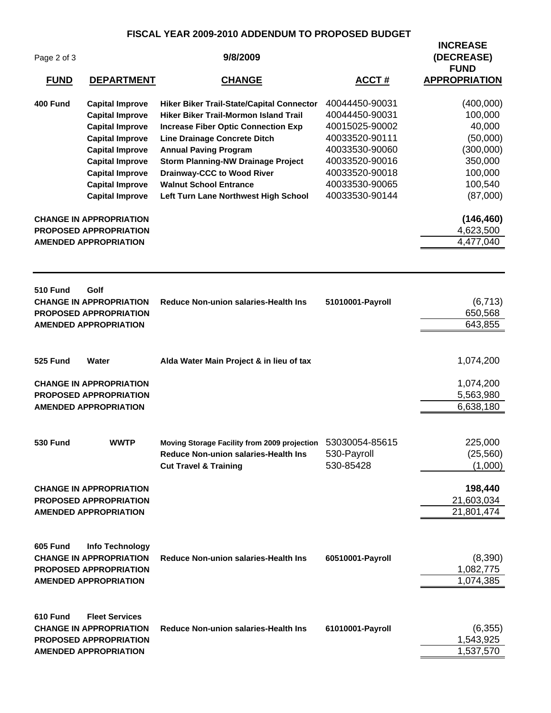#### **FISCAL YEAR 2009-2010 ADDENDUM TO PROPOSED BUDGET**

| Page 2 of 3<br><b>FUND</b> | <b>DEPARTMENT</b>                                                       | 9/8/2009<br><u>CHANGE</u>                                                          | <b>ACCT#</b>                     | <b>INCREASE</b><br>(DECREASE)<br><b>FUND</b><br><b>APPROPRIATION</b> |
|----------------------------|-------------------------------------------------------------------------|------------------------------------------------------------------------------------|----------------------------------|----------------------------------------------------------------------|
|                            |                                                                         |                                                                                    |                                  |                                                                      |
| 400 Fund                   | <b>Capital Improve</b>                                                  | Hiker Biker Trail-State/Capital Connector<br>Hiker Biker Trail-Mormon Island Trail | 40044450-90031<br>40044450-90031 | (400,000)<br>100,000                                                 |
|                            | <b>Capital Improve</b>                                                  |                                                                                    | 40015025-90002                   | 40,000                                                               |
|                            | <b>Capital Improve</b><br><b>Capital Improve</b>                        | <b>Increase Fiber Optic Connection Exp</b><br><b>Line Drainage Concrete Ditch</b>  | 40033520-90111                   | (50,000)                                                             |
|                            | <b>Capital Improve</b>                                                  | <b>Annual Paving Program</b>                                                       | 40033530-90060                   | (300,000)                                                            |
|                            | <b>Capital Improve</b>                                                  | <b>Storm Planning-NW Drainage Project</b>                                          | 40033520-90016                   | 350,000                                                              |
|                            | <b>Capital Improve</b>                                                  | <b>Drainway-CCC to Wood River</b>                                                  | 40033520-90018                   | 100,000                                                              |
|                            | <b>Capital Improve</b>                                                  | <b>Walnut School Entrance</b>                                                      | 40033530-90065                   | 100,540                                                              |
|                            | <b>Capital Improve</b>                                                  | Left Turn Lane Northwest High School                                               | 40033530-90144                   | (87,000)                                                             |
|                            | <b>CHANGE IN APPROPRIATION</b>                                          |                                                                                    |                                  | (146, 460)                                                           |
|                            | <b>PROPOSED APPROPRIATION</b>                                           |                                                                                    |                                  | 4,623,500                                                            |
|                            | <b>AMENDED APPROPRIATION</b>                                            |                                                                                    |                                  | 4,477,040                                                            |
| <b>510 Fund</b>            | Golf<br><b>CHANGE IN APPROPRIATION</b><br><b>PROPOSED APPROPRIATION</b> | <b>Reduce Non-union salaries-Health Ins</b>                                        | 51010001-Payroll                 | (6, 713)<br>650,568                                                  |
|                            | <b>AMENDED APPROPRIATION</b>                                            |                                                                                    |                                  | 643,855                                                              |
|                            |                                                                         |                                                                                    |                                  |                                                                      |
| 525 Fund                   | Water                                                                   | Alda Water Main Project & in lieu of tax                                           |                                  | 1,074,200                                                            |
|                            | <b>CHANGE IN APPROPRIATION</b>                                          |                                                                                    |                                  | 1,074,200                                                            |
|                            | <b>PROPOSED APPROPRIATION</b>                                           |                                                                                    |                                  | 5,563,980                                                            |
|                            | <b>AMENDED APPROPRIATION</b>                                            |                                                                                    |                                  | 6,638,180                                                            |
| <b>530 Fund</b>            | <b>WWTP</b>                                                             | Moving Storage Facility from 2009 projection 53030054-85615                        |                                  | 225,000                                                              |
|                            |                                                                         | Reduce Non-union salaries-Health Ins                                               | 530-Payroll                      | (25, 560)                                                            |
|                            |                                                                         | <b>Cut Travel &amp; Training</b>                                                   | 530-85428                        | (1,000)                                                              |
|                            | <b>CHANGE IN APPROPRIATION</b>                                          |                                                                                    |                                  | 198,440                                                              |
|                            | <b>PROPOSED APPROPRIATION</b>                                           |                                                                                    |                                  | 21,603,034                                                           |
|                            | <b>AMENDED APPROPRIATION</b>                                            |                                                                                    |                                  | 21,801,474                                                           |
| 605 Fund                   | Info Technology                                                         |                                                                                    |                                  |                                                                      |
|                            | <b>CHANGE IN APPROPRIATION</b>                                          | <b>Reduce Non-union salaries-Health Ins</b>                                        | 60510001-Payroll                 | (8,390)                                                              |
|                            | <b>PROPOSED APPROPRIATION</b>                                           |                                                                                    |                                  | 1,082,775                                                            |
|                            | <b>AMENDED APPROPRIATION</b>                                            |                                                                                    |                                  | 1,074,385                                                            |
| 610 Fund                   | <b>Fleet Services</b>                                                   |                                                                                    |                                  |                                                                      |
|                            | <b>CHANGE IN APPROPRIATION</b>                                          | <b>Reduce Non-union salaries-Health Ins</b>                                        | 61010001-Payroll                 | (6, 355)                                                             |
|                            | <b>PROPOSED APPROPRIATION</b>                                           |                                                                                    |                                  | 1,543,925                                                            |
|                            | <b>AMENDED APPROPRIATION</b>                                            |                                                                                    |                                  | 1,537,570                                                            |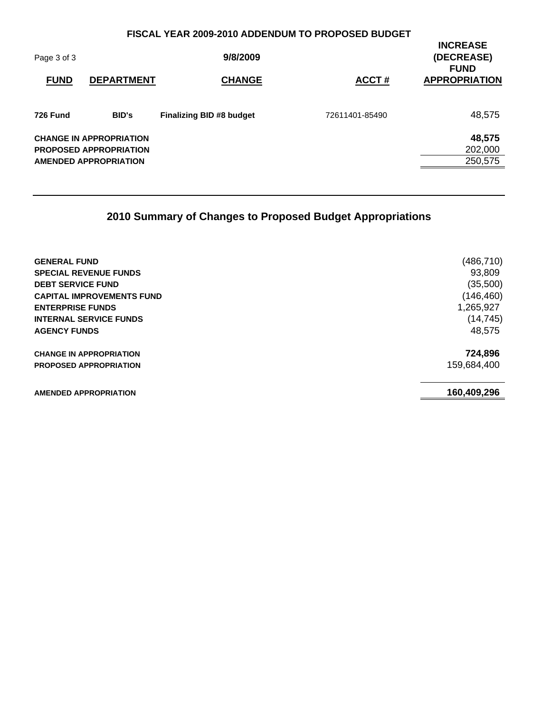#### **FISCAL YEAR 2009-2010 ADDENDUM TO PROPOSED BUDGET**

| Page 3 of 3<br><b>FUND</b> | <b>DEPARTMENT</b>                                                                               | 9/8/2009<br><b>CHANGE</b> | ACCT#          | <b>INCREASE</b><br>(DECREASE)<br><b>FUND</b><br><b>APPROPRIATION</b> |
|----------------------------|-------------------------------------------------------------------------------------------------|---------------------------|----------------|----------------------------------------------------------------------|
| <b>726 Fund</b>            | <b>BID's</b>                                                                                    | Finalizing BID #8 budget  | 72611401-85490 | 48,575                                                               |
|                            | <b>CHANGE IN APPROPRIATION</b><br><b>PROPOSED APPROPRIATION</b><br><b>AMENDED APPROPRIATION</b> |                           |                | 48,575<br>202,000<br>250,575                                         |

### **2010 Summary of Changes to Proposed Budget Appropriations**

| <b>GENERAL FUND</b>              | (486, 710)  |
|----------------------------------|-------------|
| <b>SPECIAL REVENUE FUNDS</b>     | 93,809      |
| <b>DEBT SERVICE FUND</b>         | (35,500)    |
| <b>CAPITAL IMPROVEMENTS FUND</b> | (146, 460)  |
| <b>ENTERPRISE FUNDS</b>          | 1,265,927   |
| <b>INTERNAL SERVICE FUNDS</b>    | (14, 745)   |
| <b>AGENCY FUNDS</b>              | 48,575      |
| <b>CHANGE IN APPROPRIATION</b>   | 724,896     |
| <b>PROPOSED APPROPRIATION</b>    | 159,684,400 |
| <b>AMENDED APPROPRIATION</b>     | 160,409,296 |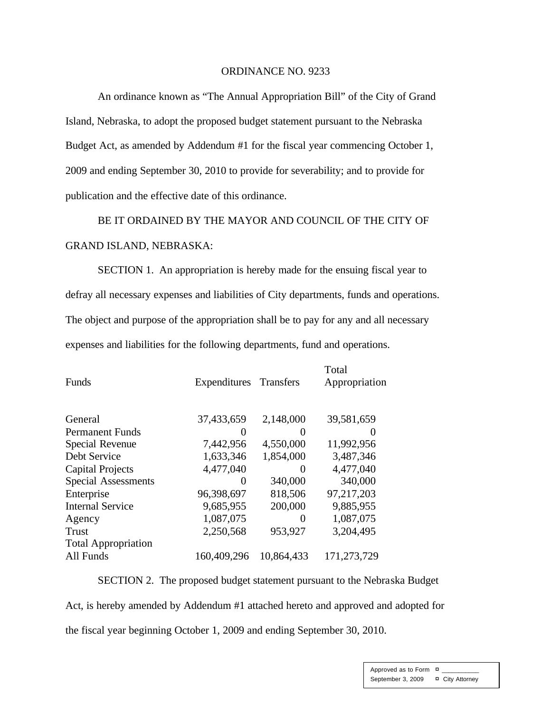#### ORDINANCE NO. 9233

An ordinance known as "The Annual Appropriation Bill" of the City of Grand Island, Nebraska, to adopt the proposed budget statement pursuant to the Nebraska Budget Act, as amended by Addendum #1 for the fiscal year commencing October 1, 2009 and ending September 30, 2010 to provide for severability; and to provide for publication and the effective date of this ordinance.

BE IT ORDAINED BY THE MAYOR AND COUNCIL OF THE CITY OF GRAND ISLAND, NEBRASKA:

SECTION 1. An appropriation is hereby made for the ensuing fiscal year to defray all necessary expenses and liabilities of City departments, funds and operations. The object and purpose of the appropriation shall be to pay for any and all necessary expenses and liabilities for the following departments, fund and operations.

| <b>Funds</b>               | Expenditures Transfers |                   | Total<br>Appropriation |
|----------------------------|------------------------|-------------------|------------------------|
| General                    | 37,433,659             | 2,148,000         | 39,581,659             |
| <b>Permanent Funds</b>     |                        | 0                 |                        |
| Special Revenue            | 7,442,956              | 4,550,000         | 11,992,956             |
| Debt Service               | 1,633,346              | 1,854,000         | 3,487,346              |
| <b>Capital Projects</b>    | 4,477,040              | $\mathbf{\Omega}$ | 4,477,040              |
| <b>Special Assessments</b> | $\mathbf{0}$           | 340,000           | 340,000                |
| Enterprise                 | 96,398,697             | 818,506           | 97,217,203             |
| <b>Internal Service</b>    | 9,685,955              | 200,000           | 9,885,955              |
| Agency                     | 1,087,075              | $\theta$          | 1,087,075              |
| Trust                      | 2,250,568              | 953,927           | 3,204,495              |
| <b>Total Appropriation</b> |                        |                   |                        |
| All Funds                  | 160,409,296            | 10,864,433        | 171,273,729            |

SECTION 2. The proposed budget statement pursuant to the Nebraska Budget

Act, is hereby amended by Addendum #1 attached hereto and approved and adopted for

the fiscal year beginning October 1, 2009 and ending September 30, 2010.